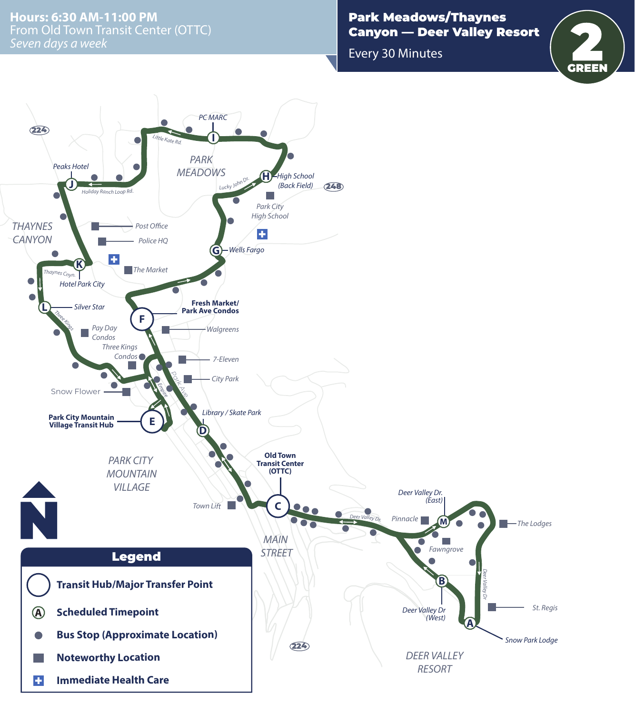From Old Town Transit Center (OTTC) *Seven days a week* **Hours: 6:30 AM-11:00 PM**

## Park Meadows/Thaynes Canyon — Deer Valley Resort

Every 30 Minutes